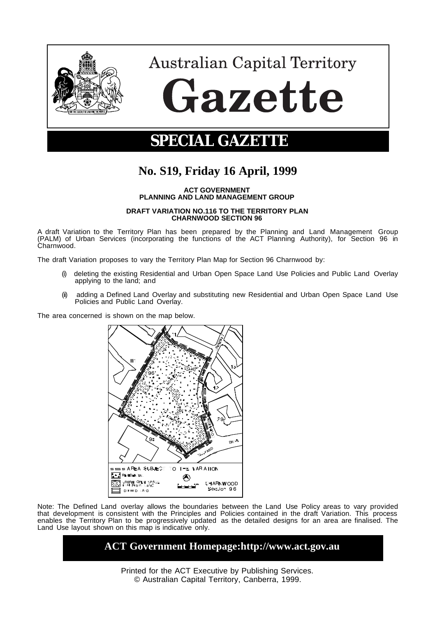

# **Australian Capital Territory** Gazette

## **SPECIAL GAZETTE**

### **No. S19, Friday 16 April, 1999**

**ACT GOVERNMENT PLANNING AND LAND MANAGEMENT GROUP**

#### **DRAFT VARIATION NO.116 TO THE TERRITORY PLAN CHARNWOOD SECTION 96**

A draft Variation to the Territory Plan has been prepared by the Planning and Land Management Group (PALM) of Urban Services (incorporating the functions of the ACT Planning Authority), for Section 96 in Charnwood.

The draft Variation proposes to vary the Territory Plan Map for Section 96 Charnwood by:

- deleting the existing Residential and Urban Open Space Land Use Policies and Public Land Overlay applying to the land; and
- (ii) adding a Defined Land Overlay and substituting new Residential and Urban Open Space Land Use Policies and Public Land Overlay.

The area concerned is shown on the map below.



Note: The Defined Land overlay allows the boundaries between the Land Use Policy areas to vary provided that development is consistent with the Principles and Policies contained in the draft Variation. This process enables the Territory Plan to be progressively updated as the detailed designs for an area are finalised. The Land Use layout shown on this map is indicative only.

#### **ACT Government Homepage:http://www.act.gov.au**

Printed for the ACT Executive by Publishing Services. © Australian Capital Territory, Canberra, 1999.